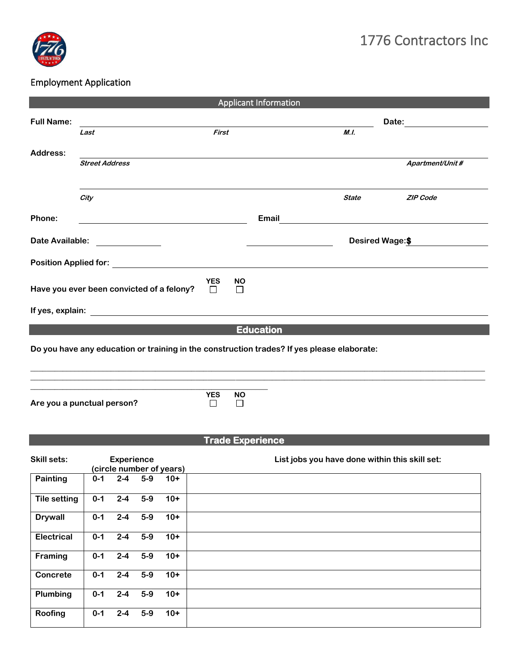

## Employment Application

| <b>Applicant Information</b>                                                                                                                                                                                                                            |                                                                                                                                                                                                                                      |                      |                |                  |                                                 |                 |  |  |  |
|---------------------------------------------------------------------------------------------------------------------------------------------------------------------------------------------------------------------------------------------------------|--------------------------------------------------------------------------------------------------------------------------------------------------------------------------------------------------------------------------------------|----------------------|----------------|------------------|-------------------------------------------------|-----------------|--|--|--|
| <b>Full Name:</b>                                                                                                                                                                                                                                       |                                                                                                                                                                                                                                      |                      |                |                  |                                                 |                 |  |  |  |
|                                                                                                                                                                                                                                                         | Last                                                                                                                                                                                                                                 | First                |                |                  | M.L.                                            |                 |  |  |  |
| Address:                                                                                                                                                                                                                                                |                                                                                                                                                                                                                                      |                      |                |                  |                                                 |                 |  |  |  |
|                                                                                                                                                                                                                                                         | <b>Street Address</b>                                                                                                                                                                                                                |                      |                |                  |                                                 | Apartment/Unit# |  |  |  |
|                                                                                                                                                                                                                                                         | City                                                                                                                                                                                                                                 |                      |                |                  | <b>State</b>                                    | <b>ZIP Code</b> |  |  |  |
| Phone:                                                                                                                                                                                                                                                  | <u> 1980 - Johann John Stone, mars et al. 1980 - John Stone, mars et al. 1980 - John Stone, mars et al. 1980 - Joh</u>                                                                                                               |                      |                |                  | Email <u>__________________________________</u> |                 |  |  |  |
| Date Available:<br><u>and the community of the community of the community of the community of the community of the community of the community of the community of the community of the community of the community of the community of the community</u> |                                                                                                                                                                                                                                      |                      |                |                  | <b>Desired Wage:\$</b>                          |                 |  |  |  |
|                                                                                                                                                                                                                                                         | Position Applied for: <u>contract the contract of the contract of the contract of the contract of the contract of the contract of the contract of the contract of the contract of the contract of the contract of the contract o</u> |                      |                |                  |                                                 |                 |  |  |  |
|                                                                                                                                                                                                                                                         | Have you ever been convicted of a felony?                                                                                                                                                                                            | <b>YES</b><br>$\Box$ | <b>NO</b><br>П |                  |                                                 |                 |  |  |  |
|                                                                                                                                                                                                                                                         |                                                                                                                                                                                                                                      |                      |                |                  |                                                 |                 |  |  |  |
|                                                                                                                                                                                                                                                         |                                                                                                                                                                                                                                      |                      |                | <b>Education</b> |                                                 |                 |  |  |  |
| Do you have any education or training in the construction trades? If yes please elaborate:<br>,我们也不会有什么。""我们的人,我们也不会有什么?""我们的人,我们也不会有什么?""我们的人,我们也不会有什么?""我们的人,我们也不会有什么?""我们的人                                                                          |                                                                                                                                                                                                                                      |                      |                |                  |                                                 |                 |  |  |  |
|                                                                                                                                                                                                                                                         | Are you a punctual person?                                                                                                                                                                                                           | <b>YES</b><br>П      | <b>NO</b><br>П |                  |                                                 |                 |  |  |  |

**Trade Experience** 

| <b>Skill sets:</b>  |         | <b>Experience</b> |       | (circle number of years) | List jobs you have done within this skill set: |
|---------------------|---------|-------------------|-------|--------------------------|------------------------------------------------|
| Painting            | $0 - 1$ | $2 - 4$           | $5-9$ | $10+$                    |                                                |
| <b>Tile setting</b> | $0 - 1$ | $2 - 4$           | $5-9$ | $10+$                    |                                                |
| <b>Drywall</b>      | $0 - 1$ | $2 - 4$           | $5-9$ | $10+$                    |                                                |
| <b>Electrical</b>   | $0 - 1$ | $2 - 4$           | $5-9$ | $10+$                    |                                                |
| Framing             | $0 - 1$ | $2 - 4$           | $5-9$ | $10+$                    |                                                |
| Concrete            | $0 - 1$ | $2 - 4$           | $5-9$ | $10+$                    |                                                |
| Plumbing            | $0 - 1$ | $2 - 4$           | $5-9$ | $10+$                    |                                                |
| Roofing             | $0 - 1$ | $2 - 4$           | $5-9$ | $10+$                    |                                                |